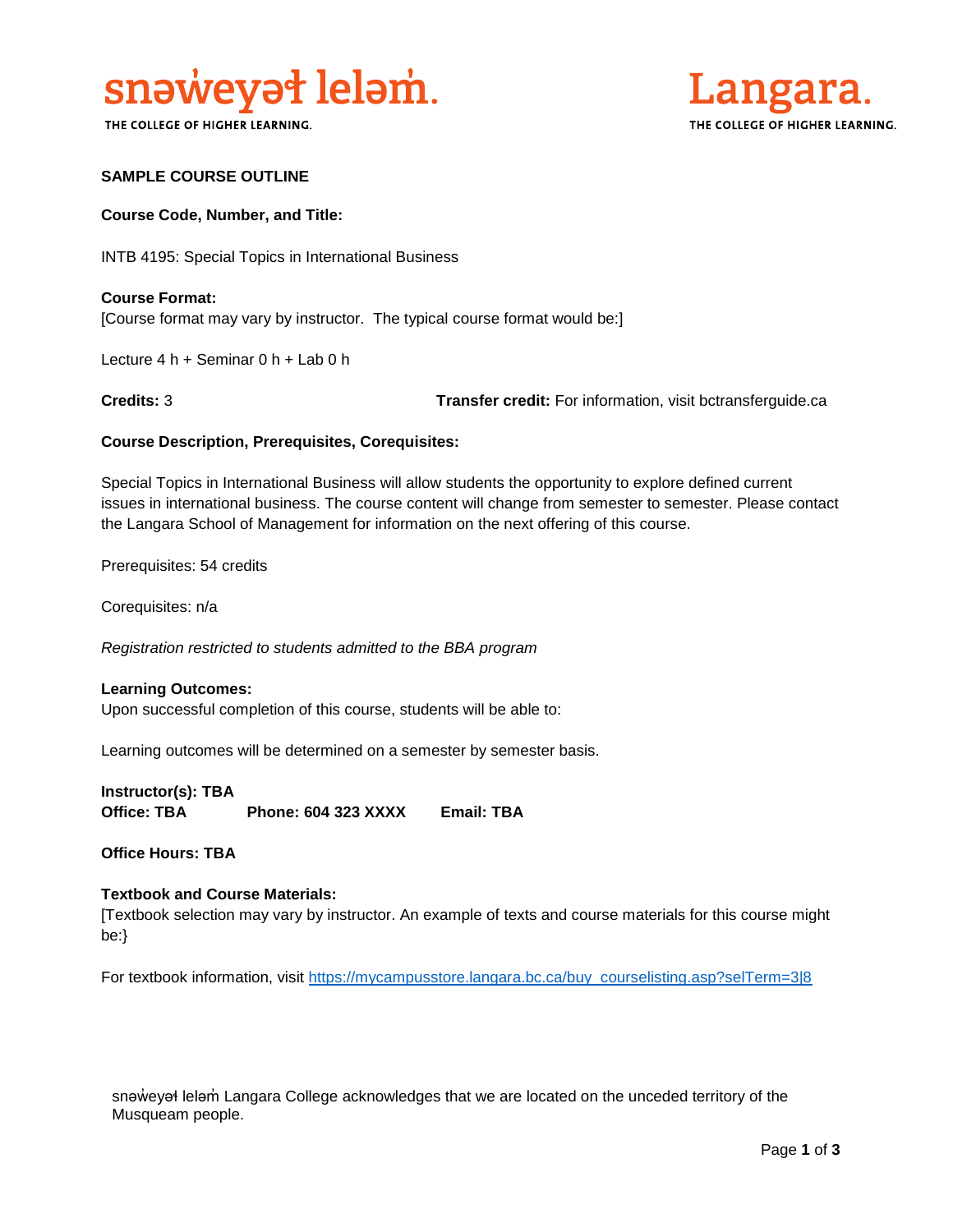

THE COLLEGE OF HIGHER LEARNING.



## **SAMPLE COURSE OUTLINE**

#### **Course Code, Number, and Title:**

INTB 4195: Special Topics in International Business

**Course Format:** [Course format may vary by instructor. The typical course format would be:]

Lecture 4 h + Seminar 0 h + Lab 0 h

**Credits:** 3 **Transfer credit:** For information, visit bctransferguide.ca

#### **Course Description, Prerequisites, Corequisites:**

Special Topics in International Business will allow students the opportunity to explore defined current issues in international business. The course content will change from semester to semester. Please contact the Langara School of Management for information on the next offering of this course.

Prerequisites: 54 credits

Corequisites: n/a

*Registration restricted to students admitted to the BBA program* 

#### **Learning Outcomes:**

Upon successful completion of this course, students will be able to:

Learning outcomes will be determined on a semester by semester basis.

**Instructor(s): TBA Office: TBA Phone: 604 323 XXXX Email: TBA**

**Office Hours: TBA** 

## **Textbook and Course Materials:**

[Textbook selection may vary by instructor. An example of texts and course materials for this course might be:}

For textbook information, visit [https://mycampusstore.langara.bc.ca/buy\\_courselisting.asp?selTerm=3|8](https://mycampusstore.langara.bc.ca/buy_courselisting.asp?selTerm=3|8)

snəweyał leləm Langara College acknowledges that we are located on the unceded territory of the Musqueam people.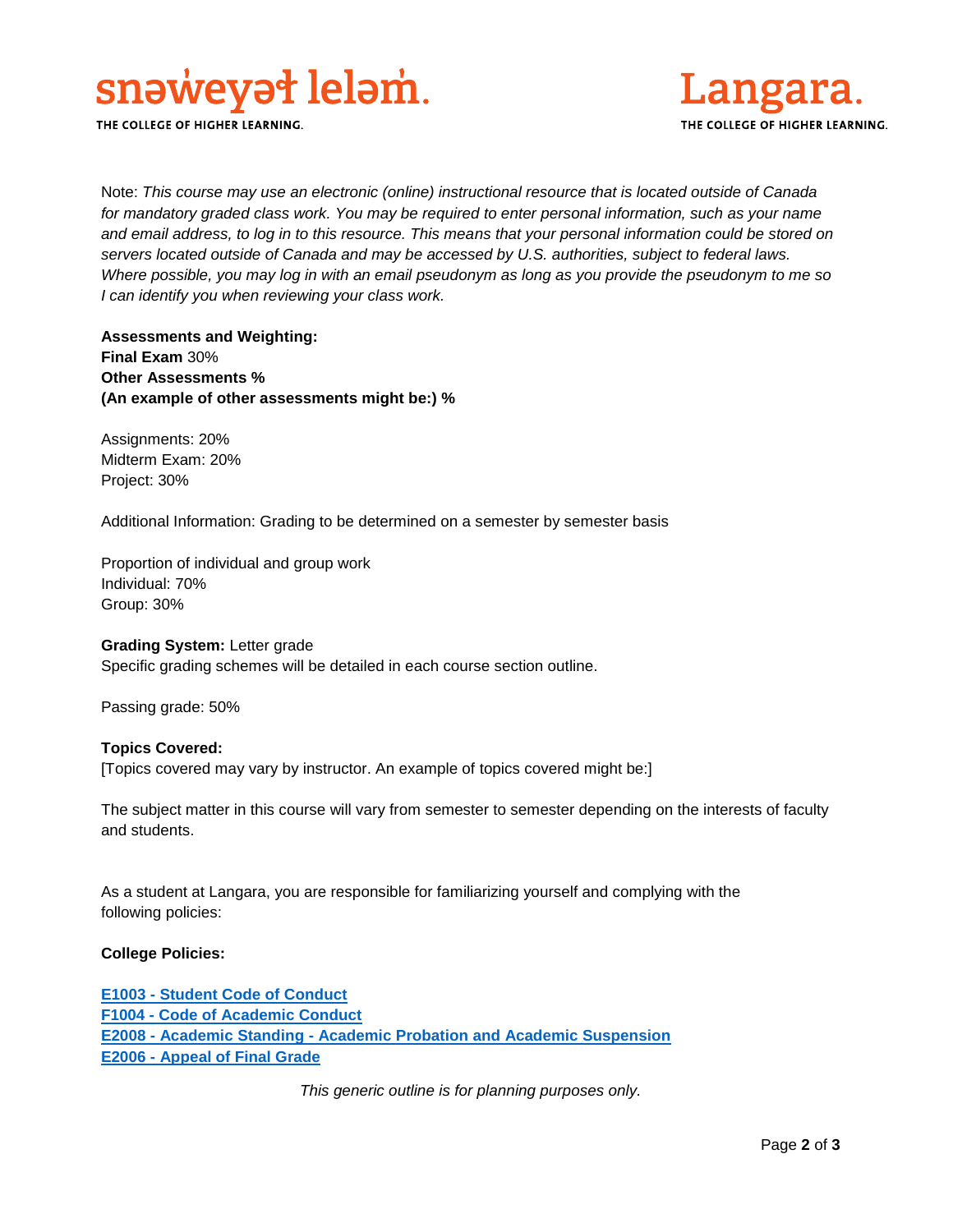

THE COLLEGE OF HIGHER LEARNING.



Note: *This course may use an electronic (online) instructional resource that is located outside of Canada*  for mandatory graded class work. You may be required to enter personal information, such as your name *and email address, to log in to this resource. This means that your personal information could be stored on servers located outside of Canada and may be accessed by U.S. authorities, subject to federal laws. Where possible, you may log in with an email pseudonym as long as you provide the pseudonym to me so I can identify you when reviewing your class work.* 

**Assessments and Weighting: Final Exam** 30% **Other Assessments % (An example of other assessments might be:) %**

Assignments: 20% Midterm Exam: 20% Project: 30%

Additional Information: Grading to be determined on a semester by semester basis

Proportion of individual and group work Individual: 70% Group: 30%

**Grading System:** Letter grade Specific grading schemes will be detailed in each course section outline.

Passing grade: 50%

#### **Topics Covered:**

[Topics covered may vary by instructor. An example of topics covered might be:]

The subject matter in this course will vary from semester to semester depending on the interests of faculty and students.

As a student at Langara, you are responsible for familiarizing yourself and complying with the following policies:

## **College Policies:**

**E1003 - [Student Code of Conduct](https://langara.ca/about-langara/policies/pdf/E1003.pdf)  F1004 - [Code of Academic Conduct](http://langara.bc.ca/registration-and-records/pdf/F1004.pdf) E2008 - Academic Standing - [Academic Probation and Academic Suspension](file://///EMPLHOME_SERVER/HOME/ACCOUNTS/EMPL/SBOWERS/Committee%20Work/Course%20Outline%20Policy%20Committee/E2008%20-%20Academic%20Standing%20-%20Academic%20Probation%20and%20Academic%20Suspension) E2006 - [Appeal of Final Grade](http://langara.bc.ca/registration-and-records/pdf/E2006.pdf)**

*This generic outline is for planning purposes only.*